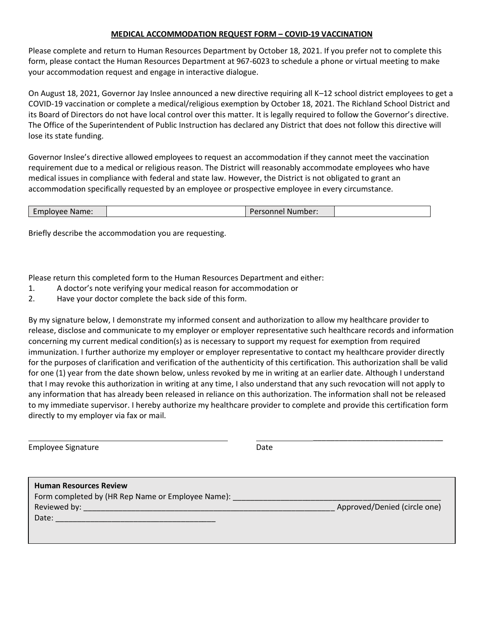## **MEDICAL ACCOMMODATION REQUEST FORM – COVID-19 VACCINATION**

Please complete and return to Human Resources Department by October 18, 2021. If you prefer not to complete this form, please contact the Human Resources Department at 967-6023 to schedule a phone or virtual meeting to make your accommodation request and engage in interactive dialogue.

On August 18, 2021, Governor Jay Inslee announced a new directive requiring all K–12 school district employees to get a COVID-19 vaccination or complete a medical/religious exemption by October 18, 2021. The Richland School District and its Board of Directors do not have local control over this matter. It is legally required to follow the Governor's directive. The Office of the Superintendent of Public Instruction has declared any District that does not follow this directive will lose its state funding.

Governor Inslee's directive allowed employees to request an accommodation if they cannot meet the vaccination requirement due to a medical or religious reason. The District will reasonably accommodate employees who have medical issues in compliance with federal and state law. However, the District is not obligated to grant an accommodation specifically requested by an employee or prospective employee in every circumstance.

| Employee Name: | Number:<br>Personnel |  |
|----------------|----------------------|--|
|----------------|----------------------|--|

Briefly describe the accommodation you are requesting.

Please return this completed form to the Human Resources Department and either:

- 1. A doctor's note verifying your medical reason for accommodation or
- 2. Have your doctor complete the back side of this form.

By my signature below, I demonstrate my informed consent and authorization to allow my healthcare provider to release, disclose and communicate to my employer or employer representative such healthcare records and information concerning my current medical condition(s) as is necessary to support my request for exemption from required immunization. I further authorize my employer or employer representative to contact my healthcare provider directly for the purposes of clarification and verification of the authenticity of this certification. This authorization shall be valid for one (1) year from the date shown below, unless revoked by me in writing at an earlier date. Although I understand that I may revoke this authorization in writing at any time, I also understand that any such revocation will not apply to any information that has already been released in reliance on this authorization. The information shall not be released to my immediate supervisor. I hereby authorize my healthcare provider to complete and provide this certification form directly to my employer via fax or mail.

Employee Signature **Date** Date

\_\_\_\_\_\_\_\_\_\_\_\_\_\_\_\_\_\_\_\_\_\_\_\_\_\_\_\_\_\_

| Approved/Denied (circle one) |
|------------------------------|
|                              |
|                              |
|                              |